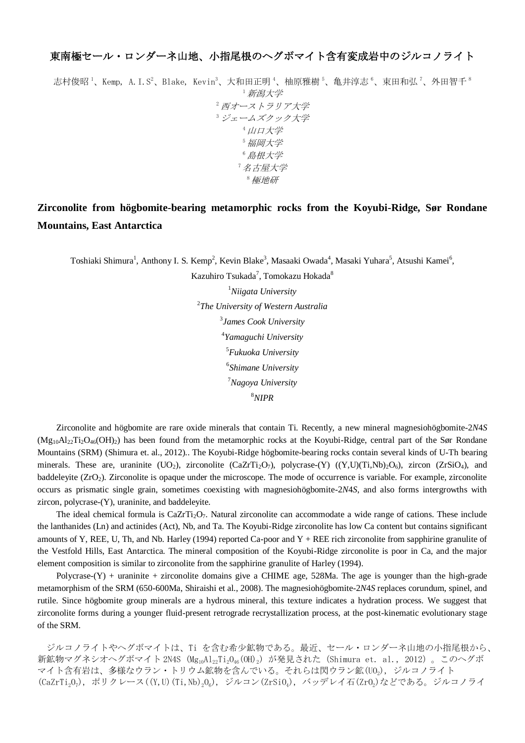## 東南極セール・ロンダーネ山地、小指尾根のヘグボマイト含有変成岩中のジルコノライト

志村俊昭<sup>1</sup>、Kemp, A. I. S<sup>2</sup>、Blake, Kevin<sup>3</sup>、大和田正明<sup>4</sup>、柚原雅樹<sup>5</sup>、亀井淳志<sup>6</sup>、束田和弘<sup>7</sup>、外田智千<sup>8</sup> <sup>1</sup>新潟大学 <sup>2</sup>西オーストラリア大学 <sup>3</sup>ジェームズクック大学 4 山口大学 <sup>5</sup>福岡大学 <sup>6</sup>島根大学 <sup>7</sup>名古屋大学 <sup>8</sup>極地研

## **Zirconolite from högbomite-bearing metamorphic rocks from the Koyubi-Ridge, Sør Rondane Mountains, East Antarctica**

Toshiaki Shimura<sup>1</sup>, Anthony I. S. Kemp<sup>2</sup>, Kevin Blake<sup>3</sup>, Masaaki Owada<sup>4</sup>, Masaki Yuhara<sup>5</sup>, Atsushi Kamei<sup>6</sup>,

Kazuhiro Tsukada<sup>7</sup>, Tomokazu Hokada<sup>8</sup> *Niigata University The University of Western Australia James Cook University Yamaguchi University Fukuoka University Shimane University Nagoya University* <sup>8</sup>*NIPR*

Zirconolite and högbomite are rare oxide minerals that contain Ti. Recently, a new mineral magnesiohögbomite-2*N*4*S*  $(Mg_{10}Al_2, Ti_2O_{46}(OH_2)$  has been found from the metamorphic rocks at the Koyubi-Ridge, central part of the Sør Rondane Mountains (SRM) (Shimura et. al., 2012).. The Koyubi-Ridge högbomite-bearing rocks contain several kinds of U-Th bearing minerals. These are, uraninite  $(UO_2)$ , zirconolite  $(CaZrTi_2O_7)$ , polycrase- $(Y)$   $((Y,U)(Ti,Nb)_2O_6)$ , zircon  $(ZrSiO_4)$ , and baddeleyite (ZrO<sub>2</sub>). Zirconolite is opaque under the microscope. The mode of occurrence is variable. For example, zirconolite occurs as prismatic single grain, sometimes coexisting with magnesiohögbomite-2*N*4*S*, and also forms intergrowths with zircon, polycrase-(Y), uraninite, and baddeleyite.

The ideal chemical formula is  $CaZrTi<sub>2</sub>O<sub>7</sub>$ . Natural zirconolite can accommodate a wide range of cations. These include the lanthanides (Ln) and actinides (Act), Nb, and Ta. The Koyubi-Ridge zirconolite has low Ca content but contains significant amounts of Y, REE, U, Th, and Nb. Harley (1994) reported Ca-poor and  $Y + REE$  rich zirconolite from sapphirine granulite of the Vestfold Hills, East Antarctica. The mineral composition of the Koyubi-Ridge zirconolite is poor in Ca, and the major element composition is similar to zirconolite from the sapphirine granulite of Harley (1994).

Polycrase- $(Y)$  + uraninite + zirconolite domains give a CHIME age, 528Ma. The age is younger than the high-grade metamorphism of the SRM (650-600Ma, Shiraishi et al., 2008). The magnesiohögbomite-2*N*4*S* replaces corundum, spinel, and rutile. Since högbomite group minerals are a hydrous mineral, this texture indicates a hydration process. We suggest that zirconolite forms during a younger fluid-present retrograde recrystallization process, at the post-kinematic evolutionary stage of the SRM.

ジルコノライトやヘグボマイトは、Ti を含む希少鉱物である。最近、セール・ロンダーネ山地の小指尾根から、 新鉱物マグネシオヘグボマイト 2N4S (Mg<sub>10</sub>Al<sub>22</sub>Ti<sub>2</sub>O<sub>46</sub> (OH)<sub>2</sub>) が発見された (Shimura et. al., 2012) 。このヘグボ マイト含有岩は、多様なウラン・トリウム鉱物を含んでいる。それらは閃ウラン鉱(UO2), ジルコノライト (CaZrTi<sub>2</sub>O<sub>7</sub>), ポリクレース((Y,U)(Ti,Nb)<sub>2</sub>O<sub>6</sub>), ジルコン(ZrSiO<sub>4</sub>), バッデレイ石(ZrO<sub>2</sub>)などである。ジルコノライ